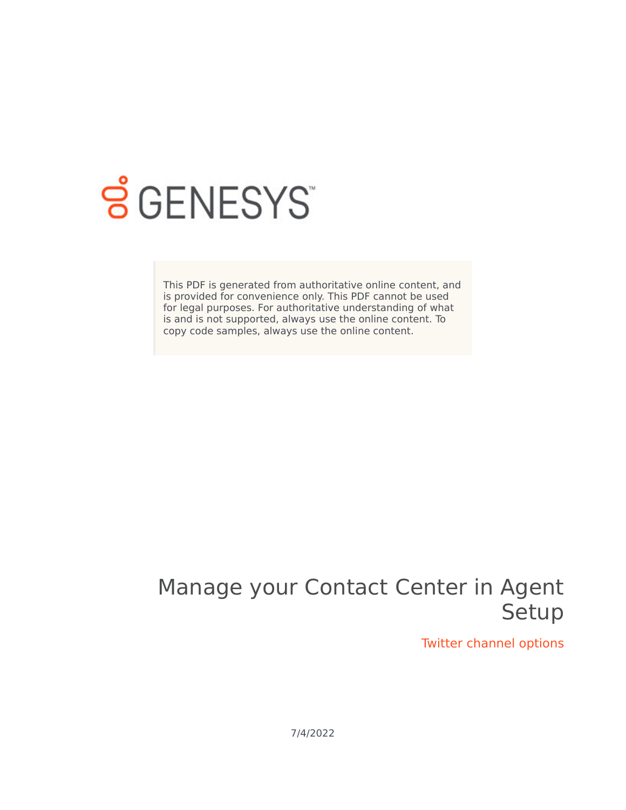

## **SGENESYS**

This PDF is generated from authoritative online content, and is provided for convenience only. This PDF cannot be used for legal purposes. For authoritative understanding of what is and is not supported, always use the online content. To copy code samples, always use the online content.

## Manage your Contact Center in Agent Setup

Twitter channel options

7/4/2022